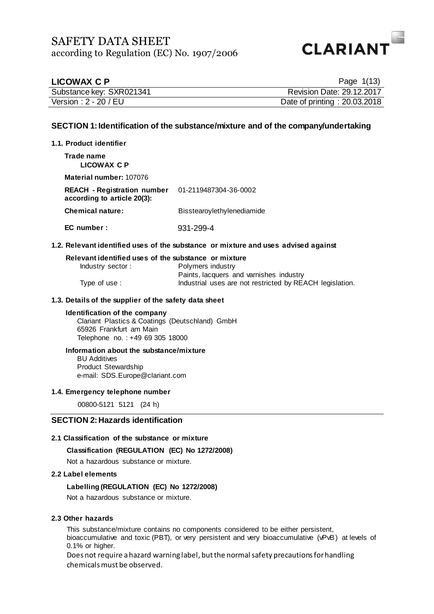

| <b>LICOWAX C P</b>       | Page $1(13)$                 |
|--------------------------|------------------------------|
| Substance key: SXR021341 | Revision Date: 29.12.2017    |
| Version: 2 - 20 / EU     | Date of printing: 20.03.2018 |

## **SECTION 1: Identification of the substance/mixture and of the company/undertaking**

### **1.1. Product identifier**

**Trade name LICOWAX C P**

**Material number:** 107076

**REACH - Registration number according to article 20(3):** 01-2119487304-36-0002 **Chemical nature:** Bisstearoylethylenediamide

**EC number :** 931-299-4

### **1.2. Relevant identified uses of the substance or mixture and uses advised against**

### **Relevant identified uses of the substance or mixture**

| Industry sector: | Polymers industry                                        |
|------------------|----------------------------------------------------------|
|                  | Paints, lacquers and varnishes industry                  |
| Type of use:     | Industrial uses are not restricted by REACH legislation. |

### **1.3. Details of the supplier of the safety data sheet**

### **Identification of the company**

Clariant Plastics & Coatings (Deutschland) GmbH 65926 Frankfurt am Main Telephone no. : +49 69 305 18000

### **Information about the substance/mixture**

BU Additives Product Stewardship e-mail: SDS.Europe@clariant.com

### **1.4. Emergency telephone number**

00800-5121 5121 (24 h)

## **SECTION 2: Hazards identification**

### **2.1 Classification of the substance or mixture**

**Classification (REGULATION (EC) No 1272/2008)**

Not a hazardous substance or mixture.

### **2.2 Label elements**

### **Labelling (REGULATION (EC) No 1272/2008)**

Not a hazardous substance or mixture.

### **2.3 Other hazards**

This substance/mixture contains no components considered to be either persistent, bioaccumulative and toxic (PBT), or very persistent and very bioaccumulative (vPvB) at levels of 0.1% or higher.

Does not require a hazard warning label, but the normal safety precautions for handling chemicals must be observed.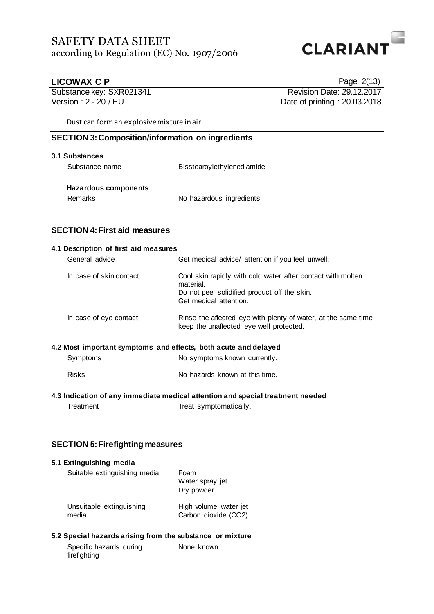

| <b>LICOWAX C P</b>                                       | Page 2(13)                                                                                                                                         |
|----------------------------------------------------------|----------------------------------------------------------------------------------------------------------------------------------------------------|
| Substance key: SXR021341                                 | Revision Date: 29.12.2017                                                                                                                          |
| Version: 2 - 20 / EU                                     | Date of printing: 20.03.2018                                                                                                                       |
| Dust can form an explosive mixture in air.               |                                                                                                                                                    |
| <b>SECTION 3: Composition/information on ingredients</b> |                                                                                                                                                    |
| 3.1 Substances                                           |                                                                                                                                                    |
| Substance name                                           | Bisstearoylethylenediamide                                                                                                                         |
| <b>Hazardous components</b>                              |                                                                                                                                                    |
| Remarks                                                  | No hazardous ingredients                                                                                                                           |
|                                                          |                                                                                                                                                    |
| <b>SECTION 4: First aid measures</b>                     |                                                                                                                                                    |
| 4.1 Description of first aid measures                    |                                                                                                                                                    |
| General advice                                           | Get medical advice/ attention if you feel unwell.                                                                                                  |
| In case of skin contact                                  | Cool skin rapidly with cold water after contact with molten<br>material.<br>Do not peel solidified product off the skin.<br>Get medical attention. |
| In case of eye contact                                   | Rinse the affected eye with plenty of water, at the same time<br>keep the unaffected eye well protected.                                           |
|                                                          | 4.2 Most important symptoms and effects, both acute and delayed                                                                                    |
| Symptoms                                                 | No symptoms known currently.                                                                                                                       |
| <b>Risks</b>                                             | No hazards known at this time.                                                                                                                     |
|                                                          | 4.3 Indication of any immediate medical attention and special treatment needed                                                                     |
| Treatment                                                | Treat symptomatically.<br>÷                                                                                                                        |
|                                                          |                                                                                                                                                    |
|                                                          |                                                                                                                                                    |
| <b>SECTION 5: Firefighting measures</b>                  |                                                                                                                                                    |

| 5.1 Extinguishing media           |                                               |
|-----------------------------------|-----------------------------------------------|
| Suitable extinguishing media      | Foam<br>Water spray jet<br>Dry powder         |
| Unsuitable extinguishing<br>media | High volume water jet<br>Carbon dioxide (CO2) |

## **5.2 Special hazards arising from the substance or mixture**

| Specific hazards during | None known. |
|-------------------------|-------------|
| firefighting            |             |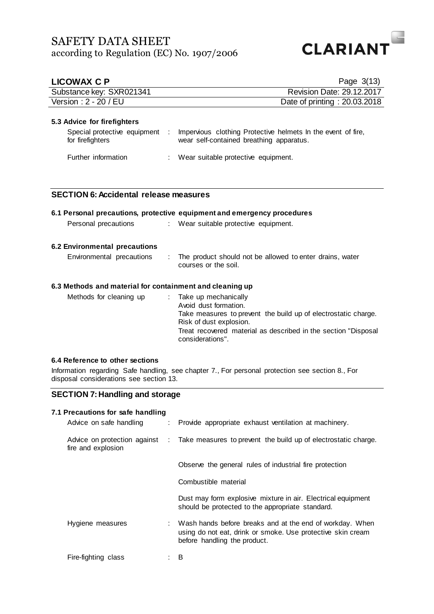

| <b>LICOWAX C P</b>                                       |                             | Page $3(13)$                                                                                                                                                                                                                     |
|----------------------------------------------------------|-----------------------------|----------------------------------------------------------------------------------------------------------------------------------------------------------------------------------------------------------------------------------|
| Substance key: SXR021341                                 |                             | <b>Revision Date: 29.12.2017</b>                                                                                                                                                                                                 |
| Version: 2 - 20 / EU                                     |                             | Date of printing: 20.03.2018                                                                                                                                                                                                     |
|                                                          |                             |                                                                                                                                                                                                                                  |
| 5.3 Advice for firefighters                              |                             |                                                                                                                                                                                                                                  |
| Special protective equipment<br>for firefighters         | <b>COLL</b>                 | Impervious clothing Protective helmets In the event of fire,<br>wear self-contained breathing apparatus.                                                                                                                         |
| Further information                                      |                             | Wear suitable protective equipment.                                                                                                                                                                                              |
|                                                          |                             |                                                                                                                                                                                                                                  |
|                                                          |                             |                                                                                                                                                                                                                                  |
| <b>SECTION 6: Accidental release measures</b>            |                             |                                                                                                                                                                                                                                  |
|                                                          |                             |                                                                                                                                                                                                                                  |
|                                                          |                             | 6.1 Personal precautions, protective equipment and emergency procedures                                                                                                                                                          |
| Personal precautions                                     | $\mathcal{L}^{\mathcal{L}}$ | Wear suitable protective equipment.                                                                                                                                                                                              |
|                                                          |                             |                                                                                                                                                                                                                                  |
| 6.2 Environmental precautions                            |                             |                                                                                                                                                                                                                                  |
| Environmental precautions                                |                             | The product should not be allowed to enter drains, water<br>courses or the soil.                                                                                                                                                 |
|                                                          |                             |                                                                                                                                                                                                                                  |
| 6.3 Methods and material for containment and cleaning up |                             |                                                                                                                                                                                                                                  |
| Methods for cleaning up                                  | ÷.                          | Take up mechanically<br>Avoid dust formation.<br>Take measures to prevent the build up of electrostatic charge.<br>Risk of dust explosion.<br>Treat recovered material as described in the section "Disposal<br>considerations". |

### **6.4 Reference to other sections**

Information regarding Safe handling, see chapter 7., For personal protection see section 8., For disposal considerations see section 13.

## **SECTION 7: Handling and storage**

## **7.1 Precautions for safe handling**

| Advice on safe handling                            | : Provide appropriate exhaust ventilation at machinery.                                                                                                 |
|----------------------------------------------------|---------------------------------------------------------------------------------------------------------------------------------------------------------|
| Advice on protection against<br>fire and explosion | : Take measures to prevent the build up of electrostatic charge.                                                                                        |
|                                                    | Observe the general rules of industrial fire protection                                                                                                 |
|                                                    | Combustible material                                                                                                                                    |
|                                                    | Dust may form explosive mixture in air. Electrical equipment<br>should be protected to the appropriate standard.                                        |
| Hygiene measures                                   | Wash hands before breaks and at the end of workday. When<br>using do not eat, drink or smoke. Use protective skin cream<br>before handling the product. |
| Fire-fighting class                                | B                                                                                                                                                       |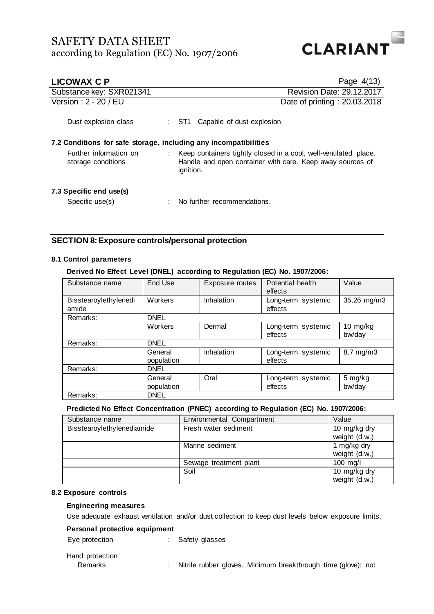

| <b>LICOWAX C P</b>                                               | Page $4(13)$                                                                                                                               |
|------------------------------------------------------------------|--------------------------------------------------------------------------------------------------------------------------------------------|
| Substance key: SXR021341                                         | <b>Revision Date: 29.12.2017</b>                                                                                                           |
| Version: 2 - 20 / EU                                             | Date of printing: 20.03.2018                                                                                                               |
| Dust explosion class                                             | Capable of dust explosion<br>ST1.                                                                                                          |
| 7.2 Conditions for safe storage, including any incompatibilities |                                                                                                                                            |
| Further information on<br>storage conditions                     | Keep containers tightly closed in a cool, well-ventilated place.<br>Handle and open container with care. Keep away sources of<br>ignition. |
| 7.3 Specific end use(s)                                          |                                                                                                                                            |
| Specific use(s)                                                  | No further recommendations.                                                                                                                |

## **SECTION 8: Exposure controls/personal protection**

## **8.1 Control parameters**

**Derived No Effect Level (DNEL) according to Regulation (EC) No. 1907/2006:**

| Substance name                 | End Use               | Exposure routes | Potential health<br>effects   | Value                          |
|--------------------------------|-----------------------|-----------------|-------------------------------|--------------------------------|
| Bisstearoylethylenedi<br>amide | Workers               | Inhalation      | Long-term systemic<br>effects | 35,26 mg/m3                    |
| Remarks:                       | <b>DNEL</b>           |                 |                               |                                |
|                                | Workers               | Dermal          | Long-term systemic<br>effects | $10 \, \text{mg/kg}$<br>bw/day |
| Remarks:                       | <b>DNEL</b>           |                 |                               |                                |
|                                | General<br>population | Inhalation      | Long-term systemic<br>effects | $8,7$ mg/m $3$                 |
| Remarks:                       | <b>DNEL</b>           |                 |                               |                                |
|                                | General<br>population | Oral            | Long-term systemic<br>effects | 5 mg/kg<br>bw/day              |
| Remarks:                       | <b>DNEL</b>           |                 |                               |                                |

### **Predicted No Effect Concentration (PNEC) according to Regulation (EC) No. 1907/2006:**

| Substance name             | Environmental Compartment | Value         |
|----------------------------|---------------------------|---------------|
| Bisstearoylethylenediamide | Fresh water sediment      | 10 mg/kg dry  |
|                            |                           | weight (d.w.) |
|                            | Marine sediment           | 1 mg/kg dry   |
|                            |                           | weight (d.w.) |
|                            | Sewage treatment plant    | $100$ mg/l    |
|                            | Soil                      | 10 mg/kg dry  |
|                            |                           | weight (d.w.) |

### **8.2 Exposure controls**

## **Engineering measures**

Use adequate exhaust ventilation and/or dust collection to keep dust levels below exposure limits.

### **Personal protective equipment**

Eye protection : Safety glasses

## Hand protection

Remarks : Nitrile rubber gloves. Minimum breakthrough time (glove): not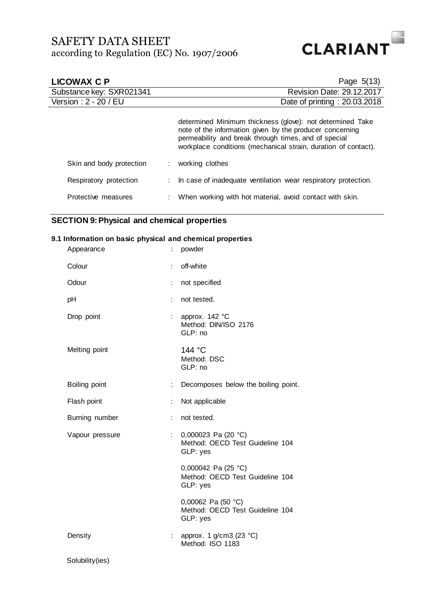

| LICOWAX C P              | Page $5(13)$                                                                                                                                                                                                                                    |
|--------------------------|-------------------------------------------------------------------------------------------------------------------------------------------------------------------------------------------------------------------------------------------------|
| Substance key: SXR021341 | <b>Revision Date: 29.12.2017</b>                                                                                                                                                                                                                |
| Version: 2 - 20 / EU     | Date of printing: 20.03.2018                                                                                                                                                                                                                    |
|                          | determined Minimum thickness (glove): not determined Take<br>note of the information given by the producer concerning<br>permeability and break through times, and of special<br>workplace conditions (mechanical strain, duration of contact). |
| Skin and body protection | : working clothes                                                                                                                                                                                                                               |
| Respiratory protection   | : In case of inadequate ventilation wear respiratory protection.                                                                                                                                                                                |
| Protective measures      | : When working with hot material, avoid contact with skin.                                                                                                                                                                                      |

## **SECTION 9: Physical and chemical properties**

## **9.1 Information on basic physical and chemical properties**

| Appearance      |                           | powder                                                               |
|-----------------|---------------------------|----------------------------------------------------------------------|
| Colour          | ÷                         | off-white                                                            |
| Odour           | t,                        | not specified                                                        |
| рH              | ÷                         | not tested.                                                          |
| Drop point      | ÷.                        | approx. 142 °C<br>Method: DIN/ISO 2176<br>GLP: no                    |
| Melting point   |                           | 144 °C<br>Method: DSC<br>GLP: no                                     |
| Boiling point   | ÷.                        | Decomposes below the boiling point.                                  |
| Flash point     | ÷                         | Not applicable                                                       |
| Burning number  | t.                        | not tested.                                                          |
| Vapour pressure | $\mathbb{Z}^{\mathbb{Z}}$ | 0,000023 Pa (20 °C)<br>Method: OECD Test Guideline 104<br>GLP: yes   |
|                 |                           | 0,000042 Pa (25 °C)<br>Method: OECD Test Guideline 104<br>GLP: yes   |
|                 |                           | 0,00062 Pa (50 $°C$ )<br>Method: OECD Test Guideline 104<br>GLP: yes |
| Density         | t.                        | approx. 1 g/cm3 (23 °C)<br>Method: ISO 1183                          |
| Solubility(ies) |                           |                                                                      |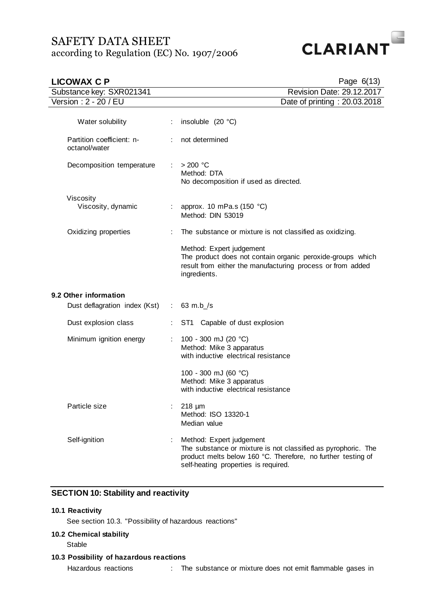

| <b>LICOWAX C P</b>                         | Page 6(13)                    |                                                                                                                                                                                                   |
|--------------------------------------------|-------------------------------|---------------------------------------------------------------------------------------------------------------------------------------------------------------------------------------------------|
| Substance key: SXR021341                   |                               | Revision Date: 29.12.2017                                                                                                                                                                         |
| Version: 2 - 20 / EU                       |                               | Date of printing: 20.03.2018                                                                                                                                                                      |
| Water solubility                           |                               | insoluble $(20 °C)$                                                                                                                                                                               |
| Partition coefficient: n-<br>octanol/water |                               | not determined                                                                                                                                                                                    |
| Decomposition temperature                  | $\mathcal{L}^{\mathcal{L}}$ . | $>$ 200 °C<br>Method: DTA<br>No decomposition if used as directed.                                                                                                                                |
| Viscosity<br>Viscosity, dynamic            |                               | approx. 10 mPa.s (150 $^{\circ}$ C)<br>Method: DIN 53019                                                                                                                                          |
| Oxidizing properties                       |                               | The substance or mixture is not classified as oxidizing.                                                                                                                                          |
|                                            |                               | Method: Expert judgement<br>The product does not contain organic peroxide-groups which<br>result from either the manufacturing process or from added<br>ingredients.                              |
| 9.2 Other information                      |                               |                                                                                                                                                                                                   |
| Dust deflagration index (Kst) :            |                               | $63$ m.b $/s$                                                                                                                                                                                     |
| Dust explosion class                       |                               | ST1 Capable of dust explosion                                                                                                                                                                     |
| Minimum ignition energy                    |                               | 100 - 300 mJ (20 °C)<br>Method: Mike 3 apparatus<br>with inductive electrical resistance                                                                                                          |
|                                            |                               | 100 - 300 mJ (60 °C)<br>Method: Mike 3 apparatus<br>with inductive electrical resistance                                                                                                          |
| Particle size                              |                               | $218 \mu m$<br>Method: ISO 13320-1<br>Median value                                                                                                                                                |
| Self-ignition                              |                               | Method: Expert judgement<br>The substance or mixture is not classified as pyrophoric. The<br>product melts below 160 °C. Therefore, no further testing of<br>self-heating properties is required. |

## **SECTION 10: Stability and reactivity**

## **10.1 Reactivity**

See section 10.3. "Possibility of hazardous reactions"

## **10.2 Chemical stability**

Stable

**10.3 Possibility of hazardous reactions**

Hazardous reactions : The substance or mixture does not emit flammable gases in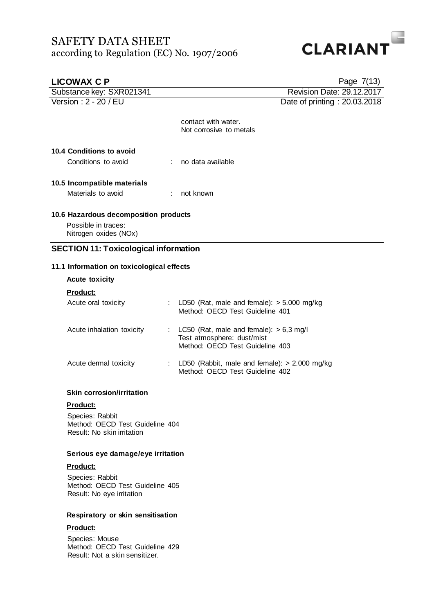

| <b>LICOWAX C P</b>                                                                    |   | Page 7(13)                                                                                                 |
|---------------------------------------------------------------------------------------|---|------------------------------------------------------------------------------------------------------------|
| Substance key: SXR021341                                                              |   | Revision Date: 29.12.2017                                                                                  |
| Version: 2 - 20 / EU                                                                  |   | Date of printing: 20.03.2018                                                                               |
|                                                                                       |   | contact with water.<br>Not corrosive to metals                                                             |
| 10.4 Conditions to avoid                                                              |   |                                                                                                            |
| Conditions to avoid                                                                   |   | no data available                                                                                          |
| 10.5 Incompatible materials                                                           |   |                                                                                                            |
| Materials to avoid                                                                    |   | not known                                                                                                  |
| 10.6 Hazardous decomposition products<br>Possible in traces:<br>Nitrogen oxides (NOx) |   |                                                                                                            |
| <b>SECTION 11: Toxicological information</b>                                          |   |                                                                                                            |
| 11.1 Information on toxicological effects                                             |   |                                                                                                            |
| <b>Acute toxicity</b>                                                                 |   |                                                                                                            |
| Product:                                                                              |   |                                                                                                            |
| Acute oral toxicity                                                                   | ÷ | LD50 (Rat, male and female): $>$ 5.000 mg/kg<br>Method: OECD Test Guideline 401                            |
| Acute inhalation toxicity                                                             | ÷ | LC50 (Rat, male and female): $> 6.3$ mg/l<br>Test atmosphere: dust/mist<br>Method: OECD Test Guideline 403 |
| Acute dermal toxicity                                                                 | ÷ | LD50 (Rabbit, male and female): $> 2.000$ mg/kg<br>Method: OECD Test Guideline 402                         |
| <b>Skin corrosion/irritation</b>                                                      |   |                                                                                                            |
| Product:                                                                              |   |                                                                                                            |
| Species: Rabbit<br>Method: OECD Test Guideline 404<br>Result: No skin irritation      |   |                                                                                                            |
| Serious eye damage/eye irritation                                                     |   |                                                                                                            |
| <b>Product:</b>                                                                       |   |                                                                                                            |
| Species: Rabbit<br>Method: OECD Test Guideline 405<br>Result: No eye irritation       |   |                                                                                                            |
| Respiratory or skin sensitisation                                                     |   |                                                                                                            |
| Product:                                                                              |   |                                                                                                            |
| Species: Mouse<br>Method: OECD Test Guideline 429                                     |   |                                                                                                            |

Result: Not a skin sensitizer.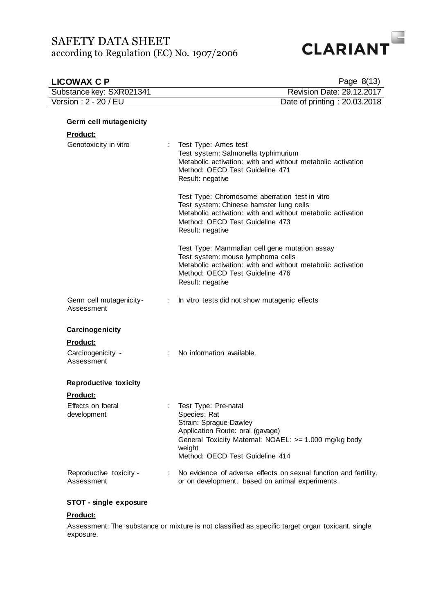

| <b>LICOWAX C P</b>                    |   | Page 8(13)                                                                                                                                                                                                      |
|---------------------------------------|---|-----------------------------------------------------------------------------------------------------------------------------------------------------------------------------------------------------------------|
| Substance key: SXR021341              |   | Revision Date: 29.12.2017                                                                                                                                                                                       |
| Version: 2 - 20 / EU                  |   | Date of printing: 20.03.2018                                                                                                                                                                                    |
| Germ cell mutagenicity                |   |                                                                                                                                                                                                                 |
| <u>Product:</u>                       |   |                                                                                                                                                                                                                 |
| Genotoxicity in vitro                 |   | Test Type: Ames test<br>Test system: Salmonella typhimurium<br>Metabolic activation: with and without metabolic activation<br>Method: OECD Test Guideline 471<br>Result: negative                               |
|                                       |   | Test Type: Chromosome aberration test in vitro<br>Test system: Chinese hamster lung cells<br>Metabolic activation: with and without metabolic activation<br>Method: OECD Test Guideline 473<br>Result: negative |
|                                       |   | Test Type: Mammalian cell gene mutation assay<br>Test system: mouse lymphoma cells<br>Metabolic activation: with and without metabolic activation<br>Method: OECD Test Guideline 476<br>Result: negative        |
| Germ cell mutagenicity-<br>Assessment | ÷ | In vitro tests did not show mutagenic effects                                                                                                                                                                   |
| Carcinogenicity                       |   |                                                                                                                                                                                                                 |
| <b>Product:</b>                       |   |                                                                                                                                                                                                                 |
| Carcinogenicity -<br>Assessment       | ÷ | No information available.                                                                                                                                                                                       |
| <b>Reproductive toxicity</b>          |   |                                                                                                                                                                                                                 |
| <b>Product:</b>                       |   |                                                                                                                                                                                                                 |
| Effects on foetal<br>development      |   | Test Type: Pre-natal<br>Species: Rat<br>Strain: Sprague-Dawley<br>Application Route: oral (gavage)<br>General Toxicity Maternal: NOAEL: >= 1.000 mg/kg body<br>weight<br>Method: OECD Test Guideline 414        |
| Reproductive toxicity -<br>Assessment | ÷ | No evidence of adverse effects on sexual function and fertility,<br>or on development, based on animal experiments.                                                                                             |

## **STOT - single exposure**

### **Product:**

Assessment: The substance or mixture is not classified as specific target organ toxicant, single exposure.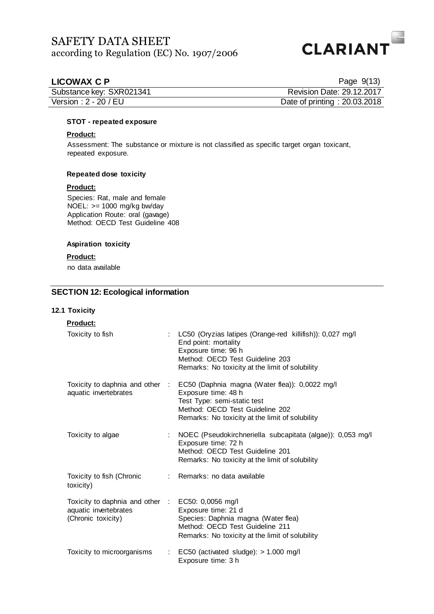

## **LICOWAX C P**

| Page 9(13) |
|------------|
|------------|

| Substance key: SXR021341 | Revision Date: 29.12.2017    |
|--------------------------|------------------------------|
| Version : $2 - 20 / EU$  | Date of printing: 20.03.2018 |

### **STOT - repeated exposure**

## **Product:**

Assessment: The substance or mixture is not classified as specific target organ toxicant, repeated exposure.

### **Repeated dose toxicity**

## **Product:**

Species: Rat, male and female NOEL:  $>= 1000$  mg/kg bw/day Application Route: oral (gavage) Method: OECD Test Guideline 408

## **Aspiration toxicity**

## **Product:**

no data available

## **SECTION 12: Ecological information**

## **12.1 Toxicity**

| <b>Product:</b>                                                                                  |   |                                                                                                                                                                                                  |
|--------------------------------------------------------------------------------------------------|---|--------------------------------------------------------------------------------------------------------------------------------------------------------------------------------------------------|
| Toxicity to fish                                                                                 |   | : LC50 (Oryzias latipes (Orange-red killifish)): 0,027 mg/l<br>End point: mortality<br>Exposure time: 96 h<br>Method: OECD Test Guideline 203<br>Remarks: No toxicity at the limit of solubility |
| Toxicity to daphnia and other :<br>aquatic invertebrates                                         |   | EC50 (Daphnia magna (Water flea)): 0,0022 mg/l<br>Exposure time: 48 h<br>Test Type: semi-static test<br>Method: OECD Test Guideline 202<br>Remarks: No toxicity at the limit of solubility       |
| Toxicity to algae                                                                                |   | : NOEC (Pseudokirchneriella subcapitata (algae)): 0,053 mg/l<br>Exposure time: 72 h<br>Method: OECD Test Guideline 201<br>Remarks: No toxicity at the limit of solubility                        |
| Toxicity to fish (Chronic<br>toxicity)                                                           |   | : Remarks: no data available                                                                                                                                                                     |
| Toxicity to daphnia and other : EC50: 0,0056 mg/l<br>aquatic invertebrates<br>(Chronic toxicity) |   | Exposure time: 21 d<br>Species: Daphnia magna (Water flea)<br>Method: OECD Test Guideline 211<br>Remarks: No toxicity at the limit of solubility                                                 |
| Toxicity to microorganisms                                                                       | ÷ | EC50 (activated sludge): > 1.000 mg/l<br>Exposure time: 3 h                                                                                                                                      |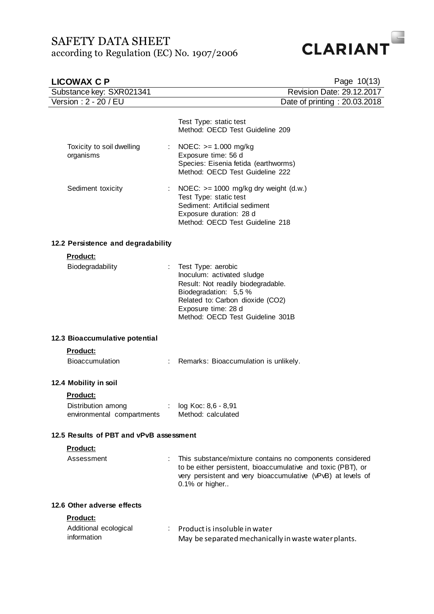

| <b>LICOWAX C P</b>                                                  | Page 10(13)                                                                                                                                                                                                    |
|---------------------------------------------------------------------|----------------------------------------------------------------------------------------------------------------------------------------------------------------------------------------------------------------|
| Substance key: SXR021341                                            | Revision Date: 29.12.2017                                                                                                                                                                                      |
| Version: 2 - 20 / EU                                                | Date of printing: 20.03.2018                                                                                                                                                                                   |
|                                                                     | Test Type: static test<br>Method: OECD Test Guideline 209                                                                                                                                                      |
| Toxicity to soil dwelling<br>$\mathcal{L}_{\rm{max}}$<br>organisms  | NOEC: $>= 1.000$ mg/kg<br>Exposure time: 56 d<br>Species: Eisenia fetida (earthworms)<br>Method: OECD Test Guideline 222                                                                                       |
| Sediment toxicity                                                   | NOEC: $>= 1000$ mg/kg dry weight (d.w.)<br>Test Type: static test<br>Sediment: Artificial sediment<br>Exposure duration: 28 d<br>Method: OECD Test Guideline 218                                               |
| 12.2 Persistence and degradability                                  |                                                                                                                                                                                                                |
| Product:                                                            |                                                                                                                                                                                                                |
| Biodegradability                                                    | Test Type: aerobic<br>Inoculum: activated sludge<br>Result: Not readily biodegradable.<br>Biodegradation: 5,5 %<br>Related to: Carbon dioxide (CO2)<br>Exposure time: 28 d<br>Method: OECD Test Guideline 301B |
| 12.3 Bioaccumulative potential                                      |                                                                                                                                                                                                                |
| <b>Product:</b>                                                     |                                                                                                                                                                                                                |
| <b>Bioaccumulation</b><br>$\mathcal{L}^{\mathcal{L}}$ .             | Remarks: Bioaccumulation is unlikely.                                                                                                                                                                          |
| 12.4 Mobility in soil                                               |                                                                                                                                                                                                                |
| <b>Product:</b><br>Distribution among<br>environmental compartments | log Koc: 8,6 - 8,91<br>Method: calculated                                                                                                                                                                      |
| 12.5 Results of PBT and vPvB assessment                             |                                                                                                                                                                                                                |
| Product:                                                            |                                                                                                                                                                                                                |
| Assessment                                                          | This substance/mixture contains no components considered<br>to be either persistent, bioaccumulative and toxic (PBT), or<br>very persistent and very bioaccumulative (vPvB) at levels of<br>0.1% or higher     |
| 12.6 Other adverse effects                                          |                                                                                                                                                                                                                |
| <u>Product:</u>                                                     |                                                                                                                                                                                                                |
| Additional ecological<br>information                                | Product is insoluble in water<br>May be separated mechanically in waste water plants.                                                                                                                          |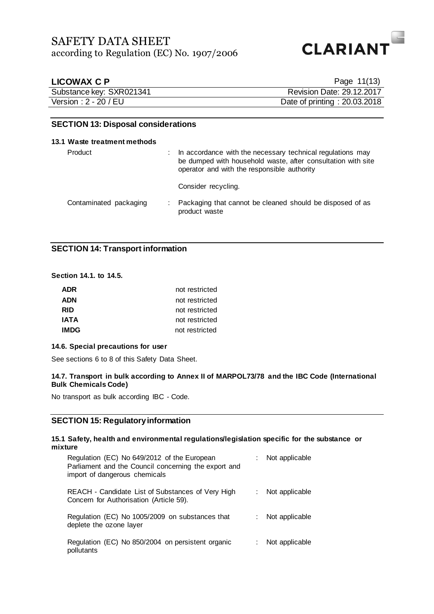

| <b>LICOWAX C P</b>       | Page 11(13)                      |
|--------------------------|----------------------------------|
| Substance key: SXR021341 | <b>Revision Date: 29.12.2017</b> |
| Version : 2 - 20 / EU    | Date of printing: 20.03.2018     |

### **SECTION 13: Disposal considerations**

### **13.1 Waste treatment methods**

| Product                | In accordance with the necessary technical regulations may<br>be dumped with household waste, after consultation with site<br>operator and with the responsible authority |
|------------------------|---------------------------------------------------------------------------------------------------------------------------------------------------------------------------|
|                        | Consider recycling.                                                                                                                                                       |
| Contaminated packaging | Packaging that cannot be cleaned should be disposed of as<br>product waste                                                                                                |

## **SECTION 14: Transport information**

## **Section 14.1. to 14.5.**

| <b>ADR</b>  | not restricted |
|-------------|----------------|
| <b>ADN</b>  | not restricted |
| <b>RID</b>  | not restricted |
| <b>IATA</b> | not restricted |
| <b>IMDG</b> | not restricted |

### **14.6. Special precautions for user**

See sections 6 to 8 of this Safety Data Sheet.

### **14.7. Transport in bulk according to Annex II of MARPOL73/78 and the IBC Code (International Bulk Chemicals Code)**

No transport as bulk according IBC - Code.

## **SECTION 15: Regulatory information**

### **15.1 Safety, health and environmental regulations/legislation specific for the substance or mixture**

| Regulation (EC) No 649/2012 of the European<br>Parliament and the Council concerning the export and<br>import of dangerous chemicals |    | Not applicable |
|--------------------------------------------------------------------------------------------------------------------------------------|----|----------------|
| REACH - Candidate List of Substances of Very High<br>Concern for Authorisation (Article 59).                                         |    | Not applicable |
| Regulation (EC) No 1005/2009 on substances that<br>deplete the ozone layer                                                           | ÷. | Not applicable |
| Regulation (EC) No 850/2004 on persistent organic<br>pollutants                                                                      |    | Not applicable |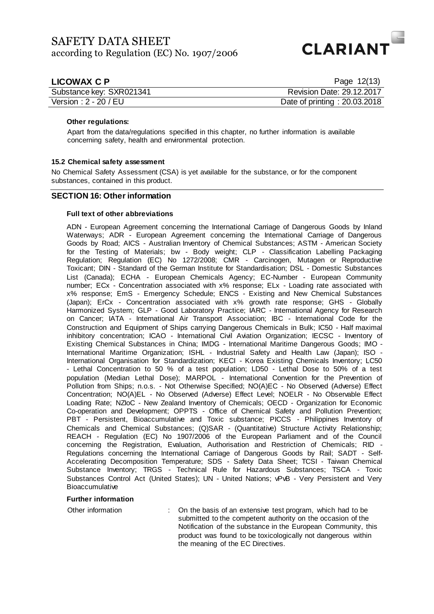

| LICOWAX C P              | Page 12(13)                  |
|--------------------------|------------------------------|
| Substance key: SXR021341 | Revision Date: 29.12.2017    |
| Version: 2 - 20 / EU     | Date of printing: 20.03.2018 |

### **Other regulations:**

Apart from the data/regulations specified in this chapter, no further information is available concerning safety, health and environmental protection.

### **15.2 Chemical safety assessment**

No Chemical Safety Assessment (CSA) is yet available for the substance, or for the component substances, contained in this product.

## **SECTION 16: Other information**

### **Full text of other abbreviations**

ADN - European Agreement concerning the International Carriage of Dangerous Goods by Inland Waterways; ADR - European Agreement concerning the International Carriage of Dangerous Goods by Road; AICS - Australian Inventory of Chemical Substances; ASTM - American Society for the Testing of Materials; bw - Body weight; CLP - Classification Labelling Packaging Regulation; Regulation (EC) No 1272/2008; CMR - Carcinogen, Mutagen or Reproductive Toxicant; DIN - Standard of the German Institute for Standardisation; DSL - Domestic Substances List (Canada); ECHA - European Chemicals Agency; EC-Number - European Community number; ECx - Concentration associated with x% response; ELx - Loading rate associated with x% response; EmS - Emergency Schedule; ENCS - Existing and New Chemical Substances (Japan); ErCx - Concentration associated with x% growth rate response; GHS - Globally Harmonized System; GLP - Good Laboratory Practice; IARC - International Agency for Research on Cancer; IATA - International Air Transport Association; IBC - International Code for the Construction and Equipment of Ships carrying Dangerous Chemicals in Bulk; IC50 - Half maximal inhibitory concentration; ICAO - International Civil Aviation Organization; IECSC - Inventory of Existing Chemical Substances in China; IMDG - International Maritime Dangerous Goods; IMO - International Maritime Organization; ISHL - Industrial Safety and Health Law (Japan); ISO - International Organisation for Standardization; KECI - Korea Existing Chemicals Inventory; LC50 - Lethal Concentration to 50 % of a test population; LD50 - Lethal Dose to 50% of a test population (Median Lethal Dose); MARPOL - International Convention for the Prevention of Pollution from Ships; n.o.s. - Not Otherwise Specified; NO(A)EC - No Observed (Adverse) Effect Concentration; NO(A)EL - No Observed (Adverse) Effect Level; NOELR - No Observable Effect Loading Rate; NZIoC - New Zealand Inventory of Chemicals; OECD - Organization for Economic Co-operation and Development; OPPTS - Office of Chemical Safety and Pollution Prevention; PBT - Persistent, Bioaccumulative and Toxic substance; PICCS - Philippines Inventory of Chemicals and Chemical Substances; (Q)SAR - (Quantitative) Structure Activity Relationship; REACH - Regulation (EC) No 1907/2006 of the European Parliament and of the Council concerning the Registration, Evaluation, Authorisation and Restriction of Chemicals; RID - Regulations concerning the International Carriage of Dangerous Goods by Rail; SADT - Self-Accelerating Decomposition Temperature; SDS - Safety Data Sheet; TCSI - Taiwan Chemical Substance Inventory; TRGS - Technical Rule for Hazardous Substances; TSCA - Toxic Substances Control Act (United States); UN - United Nations; vPvB - Very Persistent and Very Bioaccumulative

### **Further information**

Other information : On the basis of an extensive test program, which had to be submitted to the competent authority on the occasion of the Notification of the substance in the European Community, this product was found to be toxicologically not dangerous within the meaning of the EC Directives.